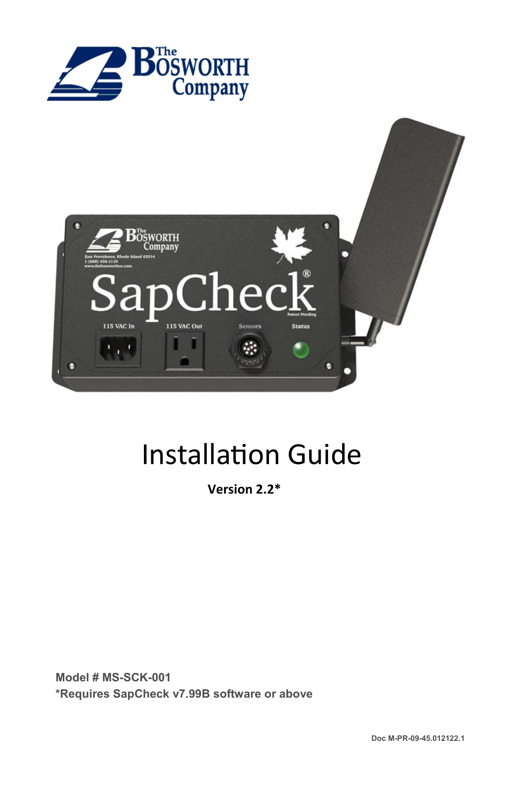



# **Installation Guide**

**Version 2.2\*** 

**Model # MS-SCK-001 \*Requires SapCheck v7.99B software or above**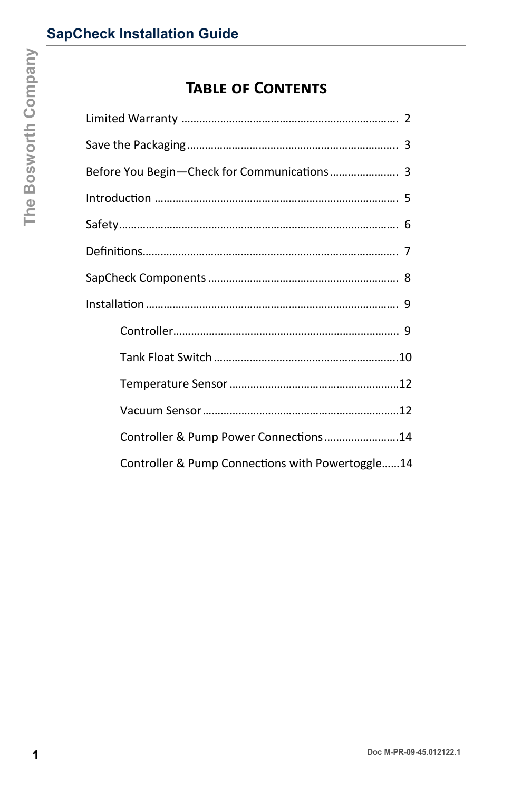# **TABLE OF CONTENTS**

|  | <b>TABLE OF CONTENTS</b>                         |
|--|--------------------------------------------------|
|  |                                                  |
|  |                                                  |
|  | Before You Begin-Check for Communications 3      |
|  |                                                  |
|  |                                                  |
|  |                                                  |
|  |                                                  |
|  |                                                  |
|  |                                                  |
|  |                                                  |
|  |                                                  |
|  |                                                  |
|  | Controller & Pump Power Connections14            |
|  | Controller & Pump Connections with Powertoggle14 |
|  |                                                  |
|  |                                                  |
|  |                                                  |
|  |                                                  |
|  | Doc M-PR-09-45.012122.1                          |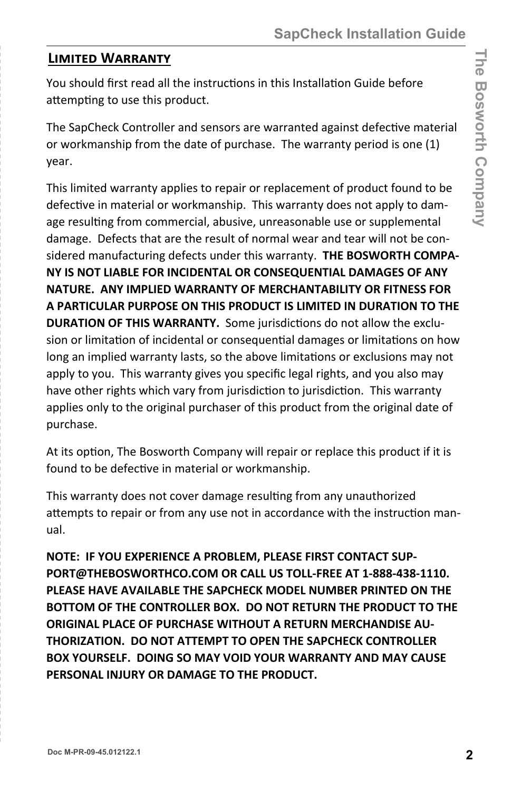#### **LIMITED WARRANTY**

You should first read all the instructions in this Installation Guide before attempting to use this product.

The SapCheck Controller and sensors are warranted against defective material or workmanship from the date of purchase. The warranty period is one (1) year.

This limited warranty applies to repair or replacement of product found to be defective in material or workmanship. This warranty does not apply to damage resulting from commercial, abusive, unreasonable use or supplemental damage. Defects that are the result of normal wear and tear will not be considered manufacturing defects under this warranty. **THE BOSWORTH COMPA-NY IS NOT LIABLE FOR INCIDENTAL OR CONSEQUENTIAL DAMAGES OF ANY NATURE. ANY IMPLIED WARRANTY OF MERCHANTABILITY OR FITNESS FOR A PARTICULAR PURPOSE ON THIS PRODUCT IS LIMITED IN DURATION TO THE DURATION OF THIS WARRANTY.** Some jurisdictions do not allow the exclusion or limitation of incidental or consequential damages or limitations on how long an implied warranty lasts, so the above limitations or exclusions may not apply to you. This warranty gives you specific legal rights, and you also may have other rights which vary from jurisdiction to jurisdiction. This warranty applies only to the original purchaser of this product from the original date of purchase.

At its option, The Bosworth Company will repair or replace this product if it is found to be defective in material or workmanship.

This warranty does not cover damage resulting from any unauthorized attempts to repair or from any use not in accordance with the instruction manual.

**NOTE: IF YOU EXPERIENCE A PROBLEM, PLEASE FIRST CONTACT SUP-PORT@THEBOSWORTHCO.COM OR CALL US TOLL-FREE AT 1-888-438-1110. PLEASE HAVE AVAILABLE THE SAPCHECK MODEL NUMBER PRINTED ON THE BOTTOM OF THE CONTROLLER BOX. DO NOT RETURN THE PRODUCT TO THE ORIGINAL PLACE OF PURCHASE WITHOUT A RETURN MERCHANDISE AU-THORIZATION. DO NOT ATTEMPT TO OPEN THE SAPCHECK CONTROLLER BOX YOURSELF. DOING SO MAY VOID YOUR WARRANTY AND MAY CAUSE PERSONAL INJURY OR DAMAGE TO THE PRODUCT.**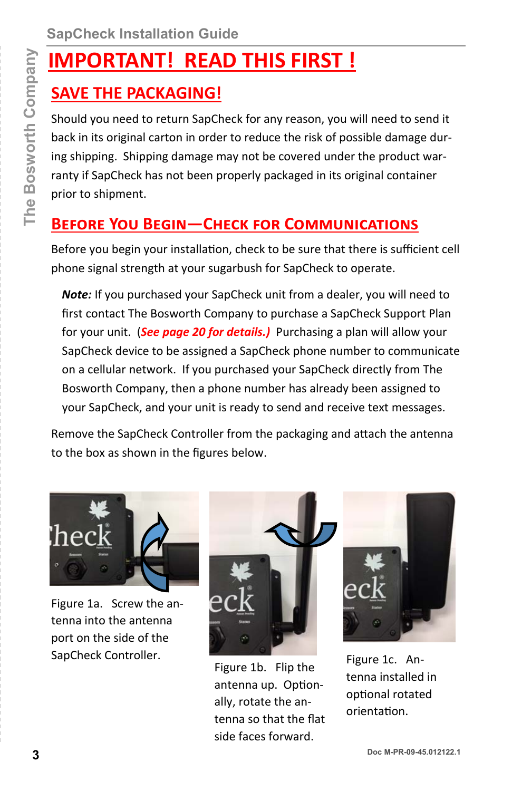# **IMPORTANT! READ THIS FIRST !**

# **SAVE THE PACKAGING!**

Should you need to return SapCheck for any reason, you will need to send it back in its original carton in order to reduce the risk of possible damage during shipping. Shipping damage may not be covered under the product warranty if SapCheck has not been properly packaged in its original container prior to shipment.

# **BEFORE YOU BEGIN-CHECK FOR COMMUNICATIONS**

Before you begin your installation, check to be sure that there is sufficient cell phone signal strength at your sugarbush for SapCheck to operate.

*Note:* If you purchased your SapCheck unit from a dealer, you will need to first contact The Bosworth Company to purchase a SapCheck Support Plan for your unit. (*See page 20 for details.)* Purchasing a plan will allow your SapCheck device to be assigned a SapCheck phone number to communicate on a cellular network. If you purchased your SapCheck directly from The Bosworth Company, then a phone number has already been assigned to your SapCheck, and your unit is ready to send and receive text messages. **3 DOCAL THE THE THE STRANT! READ THIS FIRST!**<br> **3 SAVE THE PACKAGING!**<br>
Should you need to return SapCheck for any reason, you will need to send it<br>
the solignal canon in order to reduce the risk of positive damage during

Remove the SapCheck Controller from the packaging and attach the antenna to the box as shown in the figures below.



Figure 1a. Screw the antenna into the antenna port on the side of the SapCheck Controller.



Figure 1b. Flip the antenna up. Optionally, rotate the antenna so that the flat side faces forward.



Figure 1c. Antenna installed in optional rotated orientaƟon.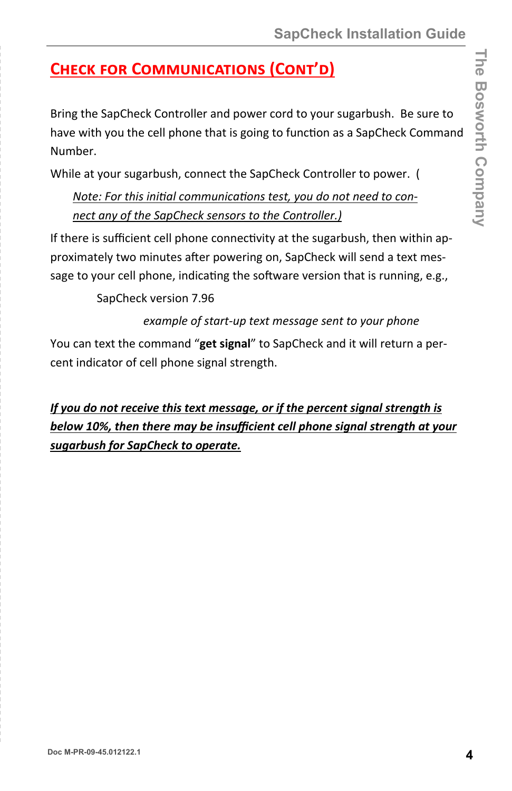# **CHECK FOR COMMUNICATIONS (CONT'D)**

Bring the SapCheck Controller and power cord to your sugarbush. Be sure to have with you the cell phone that is going to function as a SapCheck Command Number.

While at your sugarbush, connect the SapCheck Controller to power. (

Note: For this initial communications test, you do not need to con*nect any of the SapCheck sensors to the Controller.)* 

If there is sufficient cell phone connectivity at the sugarbush, then within approximately two minutes after powering on, SapCheck will send a text message to your cell phone, indicating the software version that is running, e.g.,

SapCheck version 7.96

*example of start-up text message sent to your phone*

You can text the command "**get signal**" to SapCheck and it will return a percent indicator of cell phone signal strength.

*If you do not receive this text message, or if the percent signal strength is below 10%, then there may be insufficient cell phone signal strength at your sugarbush for SapCheck to operate.*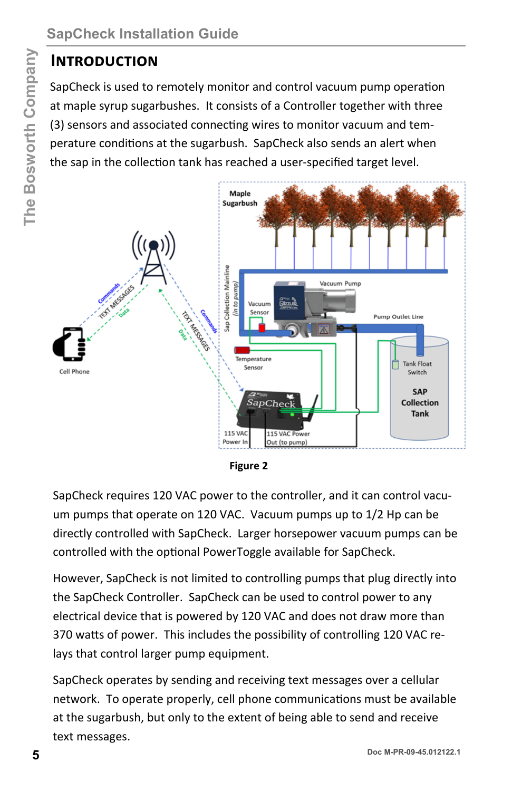### **INTRODUCTION**

SapCheck is used to remotely monitor and control vacuum pump operation at maple syrup sugarbushes. It consists of a Controller together with three (3) sensors and associated connecting wires to monitor vacuum and temperature conditions at the sugarbush. SapCheck also sends an alert when the sap in the collection tank has reached a user-specified target level.



**Figure 2** 

SapCheck requires 120 VAC power to the controller, and it can control vacuum pumps that operate on 120 VAC. Vacuum pumps up to 1/2 Hp can be directly controlled with SapCheck. Larger horsepower vacuum pumps can be controlled with the optional PowerToggle available for SapCheck.

However, SapCheck is not limited to controlling pumps that plug directly into the SapCheck Controller. SapCheck can be used to control power to any electrical device that is powered by 120 VAC and does not draw more than 370 watts of power. This includes the possibility of controlling 120 VAC relays that control larger pump equipment.

SapCheck operates by sending and receiving text messages over a cellular network. To operate properly, cell phone communications must be available at the sugarbush, but only to the extent of being able to send and receive text messages.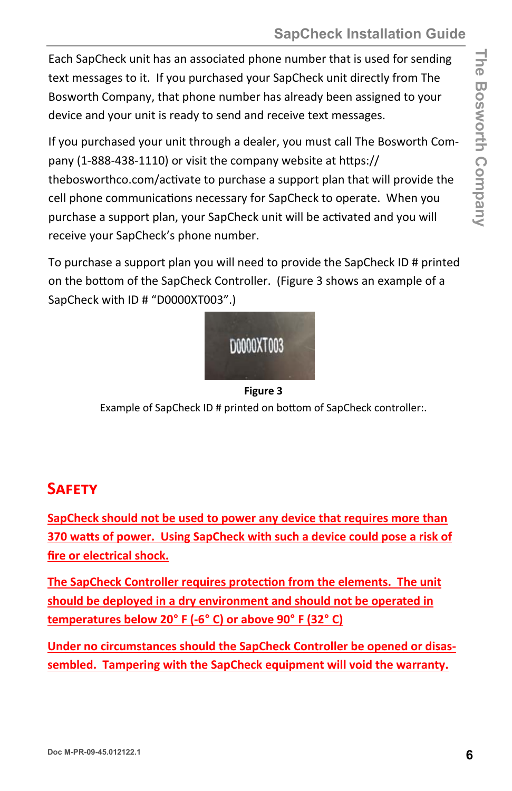Each SapCheck unit has an associated phone number that is used for sending text messages to it. If you purchased your SapCheck unit directly from The Bosworth Company, that phone number has already been assigned to your device and your unit is ready to send and receive text messages.

If you purchased your unit through a dealer, you must call The Bosworth Company (1-888-438-1110) or visit the company website at https:// thebosworthco.com/activate to purchase a support plan that will provide the cell phone communications necessary for SapCheck to operate. When you purchase a support plan, your SapCheck unit will be activated and you will receive your SapCheck's phone number.

To purchase a support plan you will need to provide the SapCheck ID # printed on the bottom of the SapCheck Controller. (Figure 3 shows an example of a SapCheck with ID # "D0000XT003".)



**Figure 3** 

Example of SapCheck ID # printed on bottom of SapCheck controller:.

## **SAFETY**

**SapCheck should not be used to power any device that requires more than 370 waƩs of power. Using SapCheck with such a device could pose a risk of fire or electrical shock.** 

**The SapCheck Controller requires protection from the elements. The unit should be deployed in a dry environment and should not be operated in temperatures below 20**° **F (-6**° **C) or above 90**° **F (32**° **C)** 

**Under no circumstances should the SapCheck Controller be opened or disassembled. Tampering with the SapCheck equipment will void the warranty.**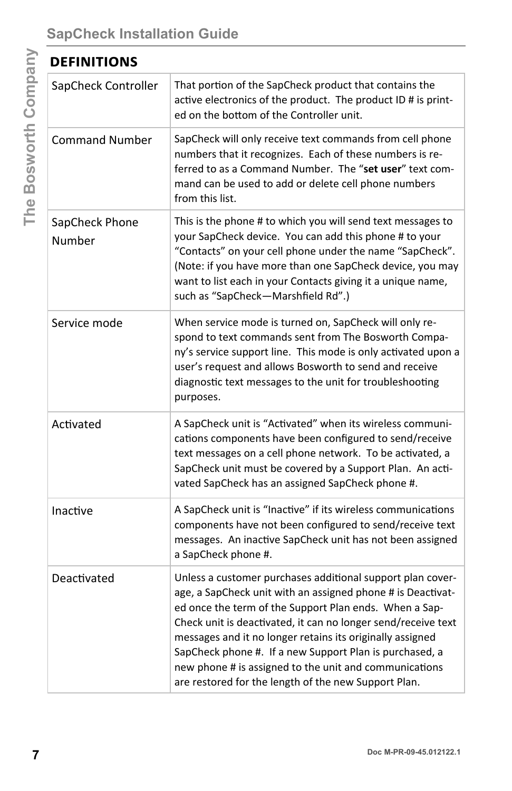| <b>DEFINITIONS</b>       |                                                                                                                                                                                                                                                                                                                                                                                                                                                                                                |  |
|--------------------------|------------------------------------------------------------------------------------------------------------------------------------------------------------------------------------------------------------------------------------------------------------------------------------------------------------------------------------------------------------------------------------------------------------------------------------------------------------------------------------------------|--|
| SapCheck Controller      | That portion of the SapCheck product that contains the<br>active electronics of the product. The product ID # is print-<br>ed on the bottom of the Controller unit.                                                                                                                                                                                                                                                                                                                            |  |
| <b>Command Number</b>    | SapCheck will only receive text commands from cell phone<br>numbers that it recognizes. Each of these numbers is re-<br>ferred to as a Command Number. The "set user" text com-<br>mand can be used to add or delete cell phone numbers<br>from this list.                                                                                                                                                                                                                                     |  |
| SapCheck Phone<br>Number | This is the phone # to which you will send text messages to<br>your SapCheck device. You can add this phone # to your<br>"Contacts" on your cell phone under the name "SapCheck".<br>(Note: if you have more than one SapCheck device, you may<br>want to list each in your Contacts giving it a unique name,<br>such as "SapCheck-Marshfield Rd".)                                                                                                                                            |  |
| Service mode             | When service mode is turned on, SapCheck will only re-<br>spond to text commands sent from The Bosworth Compa-<br>ny's service support line. This mode is only activated upon a<br>user's request and allows Bosworth to send and receive<br>diagnostic text messages to the unit for troubleshooting<br>purposes.                                                                                                                                                                             |  |
| Activated                | A SapCheck unit is "Activated" when its wireless communi-<br>cations components have been configured to send/receive<br>text messages on a cell phone network. To be activated, a<br>SapCheck unit must be covered by a Support Plan. An acti-<br>vated SapCheck has an assigned SapCheck phone #.                                                                                                                                                                                             |  |
| Inactive                 | A SapCheck unit is "Inactive" if its wireless communications<br>components have not been configured to send/receive text<br>messages. An inactive SapCheck unit has not been assigned<br>a SapCheck phone #.                                                                                                                                                                                                                                                                                   |  |
| Deactivated              | Unless a customer purchases additional support plan cover-<br>age, a SapCheck unit with an assigned phone # is Deactivat-<br>ed once the term of the Support Plan ends. When a Sap-<br>Check unit is deactivated, it can no longer send/receive text<br>messages and it no longer retains its originally assigned<br>SapCheck phone #. If a new Support Plan is purchased, a<br>new phone # is assigned to the unit and communications<br>are restored for the length of the new Support Plan. |  |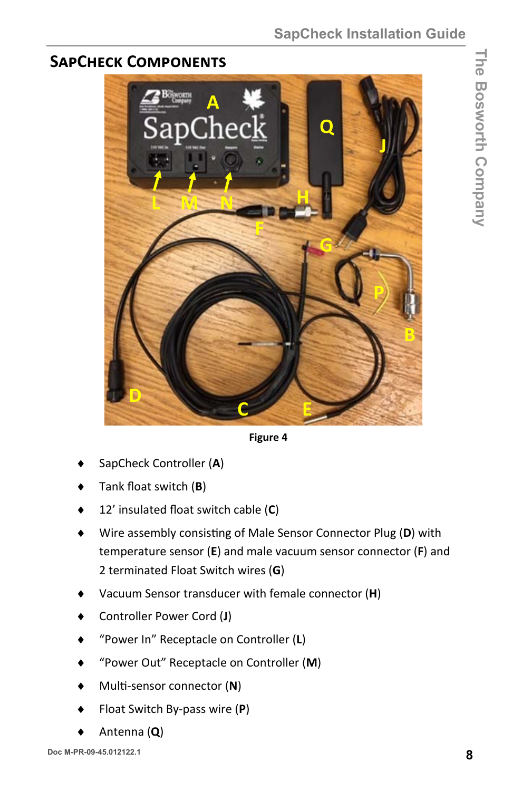**The Bosworth Company** 

The Bosworth Company

## **SAPCHECK COMPONENTS**



**Figure 4** 

- SapCheck Controller (**A**)
- Tank float switch (**B**)
- 12' insulated float switch cable (**C**)
- Wire assembly consisting of Male Sensor Connector Plug (D) with temperature sensor (**E**) and male vacuum sensor connector (**F**) and 2 terminated Float Switch wires (**G**)
- Vacuum Sensor transducer with female connector (**H**)
- Controller Power Cord (**J**)
- "Power In" Receptacle on Controller (**L**)
- "Power Out" Receptacle on Controller (**M**)
- MulƟ-sensor connector (**N**)
- Float Switch By-pass wire (**P**)
- Antenna (**Q**)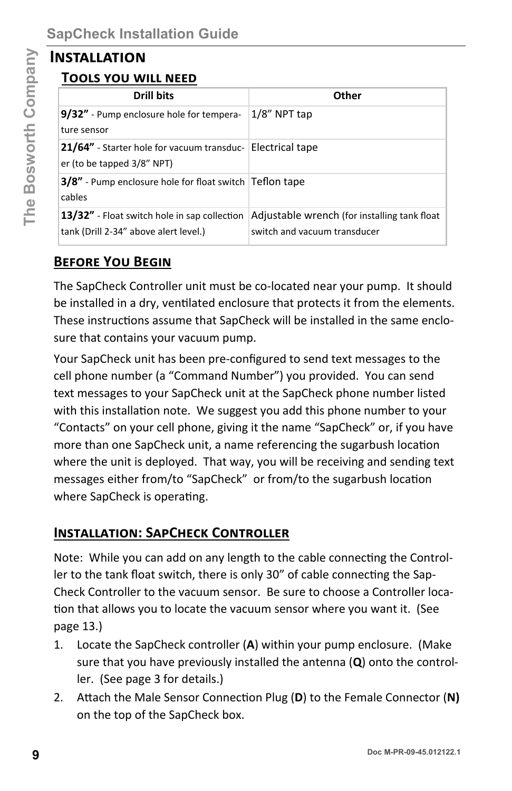#### **INSTALLATION**

## **TOOLS YOU WILL NEED**

| <b>INSTALLATION</b>                                                                   |                                                                                                                                                                                                                                                                                                                                                                                                                                                                         |
|---------------------------------------------------------------------------------------|-------------------------------------------------------------------------------------------------------------------------------------------------------------------------------------------------------------------------------------------------------------------------------------------------------------------------------------------------------------------------------------------------------------------------------------------------------------------------|
| <u>TOOLS YOU WILL NEED</u>                                                            |                                                                                                                                                                                                                                                                                                                                                                                                                                                                         |
| <b>Drill bits</b>                                                                     | Other                                                                                                                                                                                                                                                                                                                                                                                                                                                                   |
| 9/32" - Pump enclosure hole for tempera-<br>ture sensor                               | 1/8" NPT tap                                                                                                                                                                                                                                                                                                                                                                                                                                                            |
| 21/64" - Starter hole for vacuum transduc-<br>er (to be tapped 3/8" NPT)              | <b>Electrical tape</b>                                                                                                                                                                                                                                                                                                                                                                                                                                                  |
| 3/8" - Pump enclosure hole for float switch Teflon tape<br>cables                     |                                                                                                                                                                                                                                                                                                                                                                                                                                                                         |
| 13/32" - Float switch hole in sap collection<br>tank (Drill 2-34" above alert level.) | Adjustable wrench (for installing tank float<br>switch and vacuum transducer                                                                                                                                                                                                                                                                                                                                                                                            |
| <b>BEFORE YOU BEGIN</b>                                                               |                                                                                                                                                                                                                                                                                                                                                                                                                                                                         |
| sure that contains your vacuum pump.                                                  | be installed in a dry, ventilated enclosure that protects it from the elements.<br>These instructions assume that SapCheck will be installed in the same enclo-<br>Your SapCheck unit has been pre-configured to send text messages to the<br>cell phone number (a "Command Number") you provided. You can send<br>text messages to your SapCheck unit at the SapCheck phone number listed<br>with this installation note. We suggest you add this phone number to your |
| where SapCheck is operating.                                                          | "Contacts" on your cell phone, giving it the name "SapCheck" or, if you have<br>more than one SapCheck unit, a name referencing the sugarbush location<br>where the unit is deployed. That way, you will be receiving and sending text<br>messages either from/to "SapCheck" or from/to the sugarbush location                                                                                                                                                          |
| <b>INSTALLATION: SAPCHECK CONTROLLER</b>                                              |                                                                                                                                                                                                                                                                                                                                                                                                                                                                         |
| page 13.)                                                                             | Note: While you can add on any length to the cable connecting the Control-<br>ler to the tank float switch, there is only 30" of cable connecting the Sap-<br>Check Controller to the vacuum sensor. Be sure to choose a Controller loca-<br>tion that allows you to locate the vacuum sensor where you want it. (See                                                                                                                                                   |
| 1.<br>ler. (See page 3 for details.)                                                  | Locate the SapCheck controller (A) within your pump enclosure. (Make<br>sure that you have previously installed the antenna $(Q)$ onto the control-                                                                                                                                                                                                                                                                                                                     |
| 2.<br>on the top of the SapCheck box.                                                 | Attach the Male Sensor Connection Plug (D) to the Female Connector (N)                                                                                                                                                                                                                                                                                                                                                                                                  |
|                                                                                       | Doc M-PR-09-45.012122.1                                                                                                                                                                                                                                                                                                                                                                                                                                                 |

#### **BEFORE YOU BEGIN**

#### **INSTALLATION: SAPCHECK CONTROLLER**

- 1. Locate the SapCheck controller (**A**) within your pump enclosure. (Make sure that you have previously installed the antenna (**Q**) onto the controller. (See page 3 for details.)
- 2. Attach the Male Sensor Connection Plug (D) to the Female Connector (N) on the top of the SapCheck box.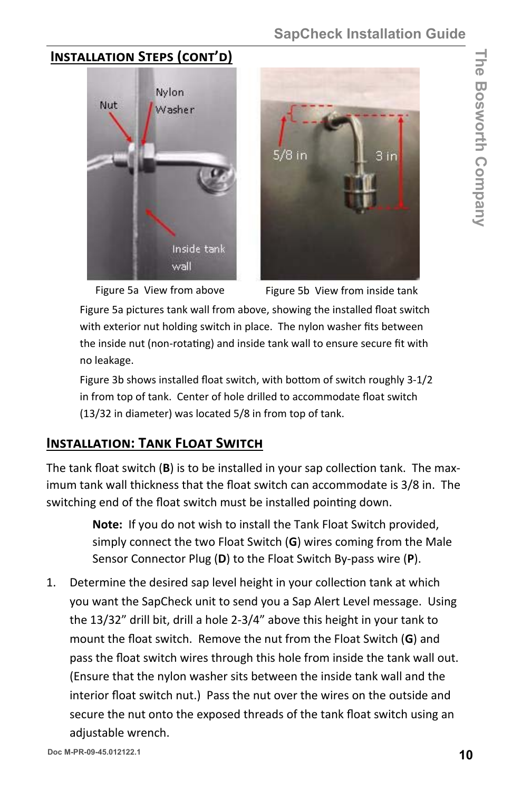**The Bosworth Company The Bosworth Company** 

#### **INSTALLATION STEPS (CONT'D)**





Figure 5a View from above Figure 5b View from inside tank

Figure 5a pictures tank wall from above, showing the installed float switch with exterior nut holding switch in place. The nylon washer fits between the inside nut (non-rotating) and inside tank wall to ensure secure fit with no leakage.

Figure 3b shows installed float switch, with bottom of switch roughly 3-1/2 in from top of tank. Center of hole drilled to accommodate float switch (13/32 in diameter) was located 5/8 in from top of tank.

#### **INSTALLATION: TANK FLOAT SWITCH**

The tank float switch (B) is to be installed in your sap collection tank. The maximum tank wall thickness that the float switch can accommodate is 3/8 in. The switching end of the float switch must be installed pointing down.

> **Note:** If you do not wish to install the Tank Float Switch provided, simply connect the two Float Switch (**G**) wires coming from the Male Sensor Connector Plug (**D**) to the Float Switch By-pass wire (**P**).

1. Determine the desired sap level height in your collection tank at which you want the SapCheck unit to send you a Sap Alert Level message. Using the 13/32" drill bit, drill a hole 2-3/4" above this height in your tank to mount the float switch. Remove the nut from the Float Switch (**G**) and pass the float switch wires through this hole from inside the tank wall out. (Ensure that the nylon washer sits between the inside tank wall and the interior float switch nut.) Pass the nut over the wires on the outside and secure the nut onto the exposed threads of the tank float switch using an adjustable wrench.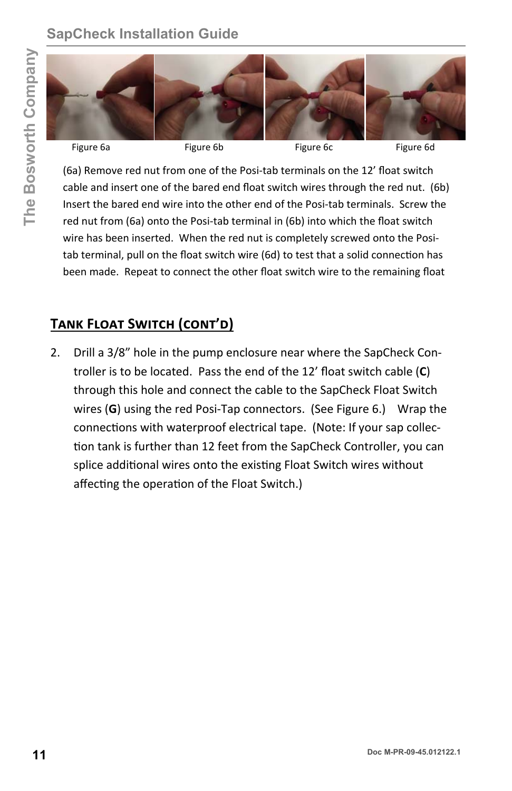# **SapCheck Installation Guide**



(6a) Remove red nut from one of the Posi-tab terminals on the 12' float switch cable and insert one of the bared end float switch wires through the red nut. (6b) Insert the bared end wire into the other end of the Posi-tab terminals. Screw the red nut from (6a) onto the Posi-tab terminal in (6b) into which the float switch wire has been inserted. When the red nut is completely screwed onto the Positab terminal, pull on the float switch wire (6d) to test that a solid connection has been made. Repeat to connect the other float switch wire to the remaining float

#### **TANK FLOAT SWITCH (CONT'D)**

2. Drill a 3/8" hole in the pump enclosure near where the SapCheck Controller is to be located. Pass the end of the 12' float switch cable (**C**) through this hole and connect the cable to the SapCheck Float Switch wires (**G**) using the red Posi-Tap connectors. (See Figure 6.) Wrap the connections with waterproof electrical tape. (Note: If your sap collection tank is further than 12 feet from the SapCheck Controller, you can splice additional wires onto the existing Float Switch wires without affecting the operation of the Float Switch.) **11 11 11 Example 12 Comparist Comparist Comparist Comparist Comparist Comparist Comparist Comparist Comparist Comparist Comparist Comparist Comparist Comparist Comparist Comparist Comparist Comparist Comparist Com**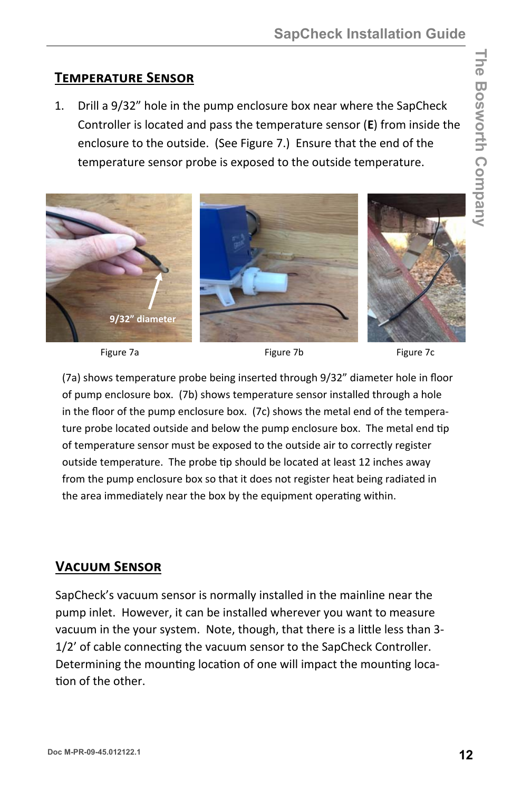#### **TEMPERATURE SENSOR**

1. Drill a 9/32" hole in the pump enclosure box near where the SapCheck Controller is located and pass the temperature sensor (**E**) from inside the enclosure to the outside. (See Figure 7.) Ensure that the end of the temperature sensor probe is exposed to the outside temperature.



Figure 7a **Figure 7b** Figure 7b Figure 7c

(7a) shows temperature probe being inserted through 9/32" diameter hole in floor of pump enclosure box. (7b) shows temperature sensor installed through a hole in the floor of the pump enclosure box. (7c) shows the metal end of the temperature probe located outside and below the pump enclosure box. The metal end tip of temperature sensor must be exposed to the outside air to correctly register outside temperature. The probe tip should be located at least 12 inches away from the pump enclosure box so that it does not register heat being radiated in the area immediately near the box by the equipment operating within.

#### **VACUUM SENSOR**

SapCheck's vacuum sensor is normally installed in the mainline near the pump inlet. However, it can be installed wherever you want to measure vacuum in the your system. Note, though, that there is a little less than 3-1/2' of cable connecting the vacuum sensor to the SapCheck Controller. Determining the mounting location of one will impact the mounting loca-Ɵon of the other.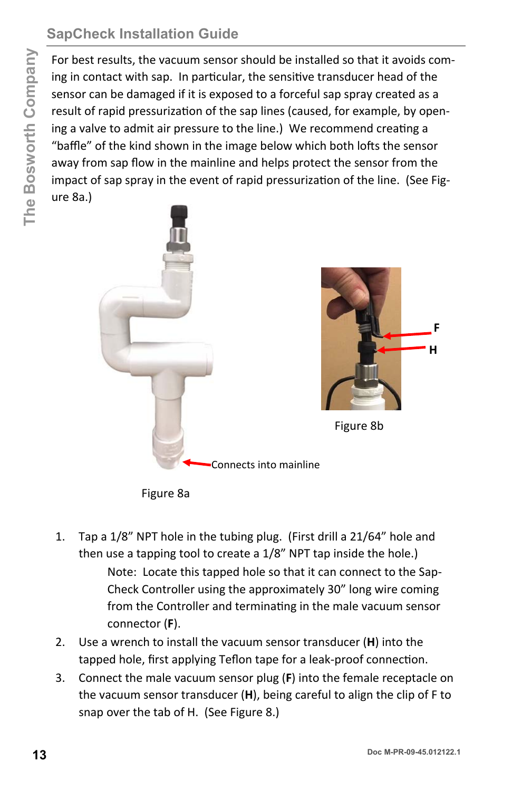# **SapCheck Installation Guide**

For best results, the vacuum sensor should be installed so that it avoids coming in contact with sap. In particular, the sensitive transducer head of the sensor can be damaged if it is exposed to a forceful sap spray created as a result of rapid pressurization of the sap lines (caused, for example, by opening a valve to admit air pressure to the line.) We recommend creating a "baffle" of the kind shown in the image below which both lofts the sensor away from sap flow in the mainline and helps protect the sensor from the impact of sap spray in the event of rapid pressurization of the line. (See Figure 8a.)



Figure 8a

- 1. Tap a 1/8" NPT hole in the tubing plug. (First drill a 21/64" hole and then use a tapping tool to create a 1/8" NPT tap inside the hole.) Note: Locate this tapped hole so that it can connect to the Sap-Check Controller using the approximately 30" long wire coming from the Controller and terminating in the male vacuum sensor connector (**F**).
- 2. Use a wrench to install the vacuum sensor transducer (**H**) into the tapped hole, first applying Teflon tape for a leak-proof connection.
- 3. Connect the male vacuum sensor plug (**F**) into the female receptacle on the vacuum sensor transducer (**H**), being careful to align the clip of F to snap over the tab of H. (See Figure 8.)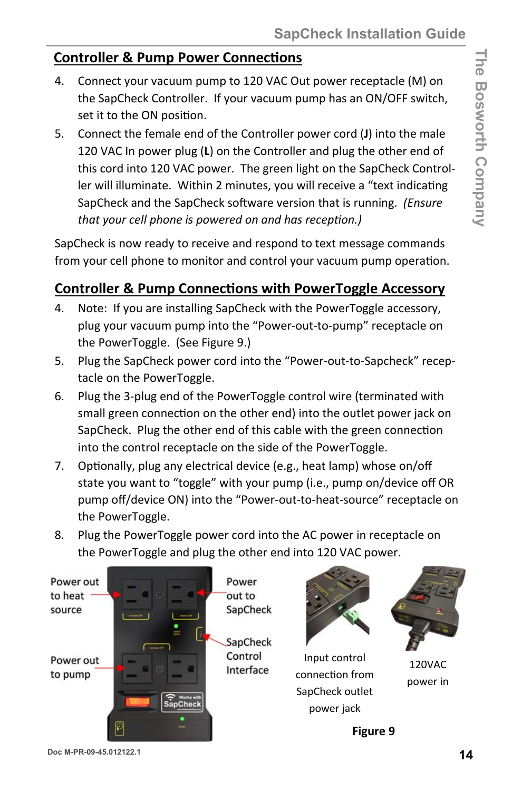#### **Controller & Pump Power Connections**

- 4. Connect your vacuum pump to 120 VAC Out power receptacle (M) on the SapCheck Controller. If your vacuum pump has an ON/OFF switch, set it to the ON position.
- 5. Connect the female end of the Controller power cord (**J**) into the male 120 VAC In power plug (**L**) on the Controller and plug the other end of this cord into 120 VAC power. The green light on the SapCheck Controller will illuminate. Within 2 minutes, you will receive a "text indicating SapCheck and the SapCheck software version that is running. *(Ensure that your cell phone is powered on and has recepƟon.)*

SapCheck is now ready to receive and respond to text message commands from your cell phone to monitor and control your vacuum pump operation.

#### **Controller & Pump ConnecƟons with PowerToggle Accessory**

- 4. Note: If you are installing SapCheck with the PowerToggle accessory, plug your vacuum pump into the "Power-out-to-pump" receptacle on the PowerToggle. (See Figure 9.)
- 5. Plug the SapCheck power cord into the "Power-out-to-Sapcheck" receptacle on the PowerToggle.
- 6. Plug the 3-plug end of the PowerToggle control wire (terminated with small green connection on the other end) into the outlet power jack on SapCheck. Plug the other end of this cable with the green connection into the control receptacle on the side of the PowerToggle.
- 7. Optionally, plug any electrical device (e.g., heat lamp) whose on/off state you want to "toggle" with your pump (i.e., pump on/device off OR pump off/device ON) into the "Power-out-to-heat-source" receptacle on the PowerToggle.
- 8. Plug the PowerToggle power cord into the AC power in receptacle on the PowerToggle and plug the other end into 120 VAC power.





Input control connecƟon from SapCheck outlet power jack



120VAC power in

**Figure 9**